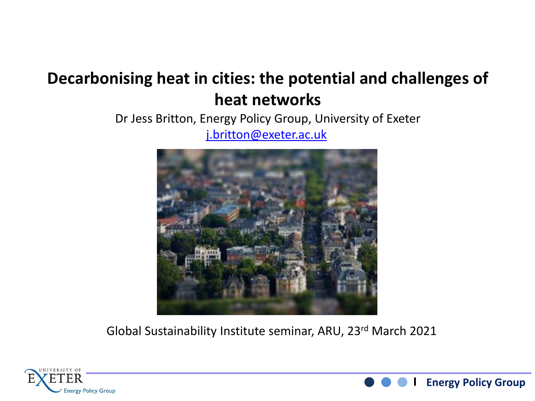#### **Decarbonising heat in cities: the potential and challenges of heat networks**

Dr Jess Britton, Energy Policy Group, University of Exeter

[j.britton@exeter.ac.uk](mailto:j.britton@exeter.ac.uk)



Global Sustainability Institute seminar, ARU, 23rd March 2021



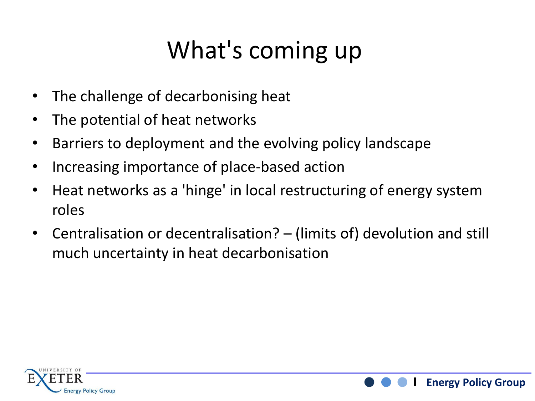## What's coming up

- The challenge of decarbonising heat
- The potential of heat networks
- Barriers to deployment and the evolving policy landscape
- Increasing importance of place-based action
- Heat networks as a 'hinge' in local restructuring of energy system roles
- Centralisation or decentralisation? (limits of) devolution and still much uncertainty in heat decarbonisation



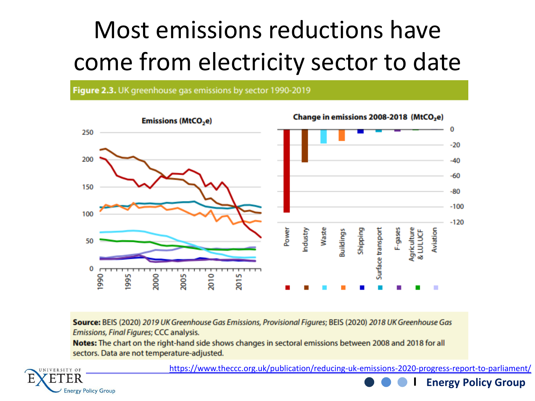## Most emissions reductions have come from electricity sector to date

Figure 2.3. UK greenhouse gas emissions by sector 1990-2019



Source: BEIS (2020) 2019 UK Greenhouse Gas Emissions, Provisional Figures; BEIS (2020) 2018 UK Greenhouse Gas Emissions, Final Figures; CCC analysis.

Notes: The chart on the right-hand side shows changes in sectoral emissions between 2008 and 2018 for all sectors. Data are not temperature-adjusted.



<https://www.theccc.org.uk/publication/reducing-uk-emissions-2020-progress-report-to-parliament/>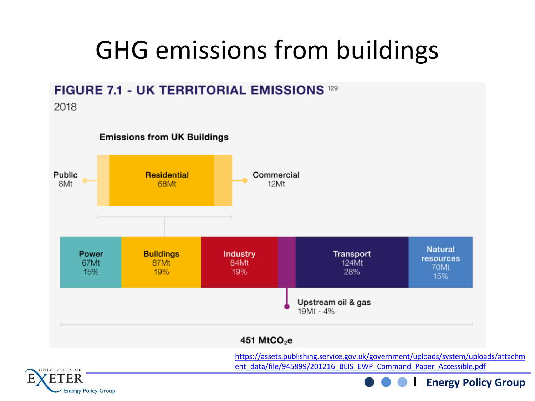## GHG emissions from buildings

#### **FIGURE 7.1 - UK TERRITORIAL EMISSIONS 129**

2018



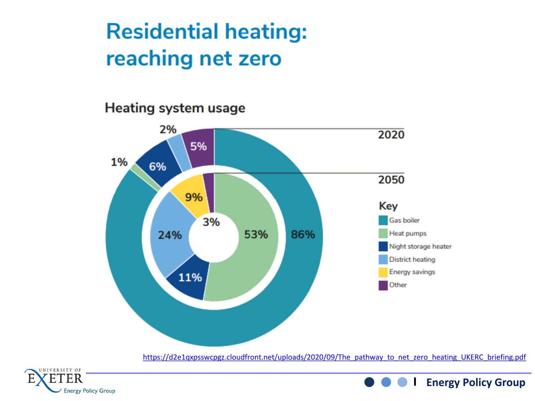#### **Residential heating:** reaching net zero

#### Heating system usage



[https://d2e1qxpsswcpgz.cloudfront.net/uploads/2020/09/The\\_pathway\\_to\\_net\\_zero\\_heating\\_UKERC\\_briefing.pdf](https://d2e1qxpsswcpgz.cloudfront.net/uploads/2020/09/The_pathway_to_net_zero_heating_UKERC_briefing.pdf)

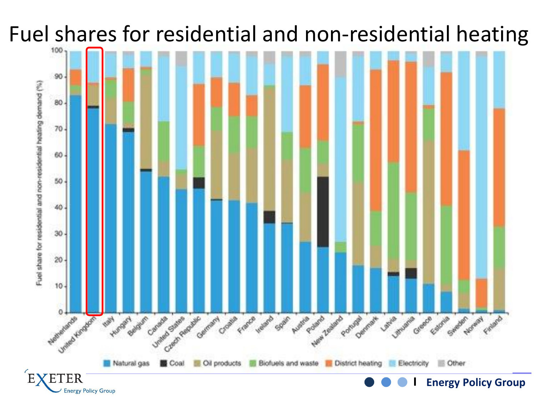### Fuel shares for residential and non-residential heating

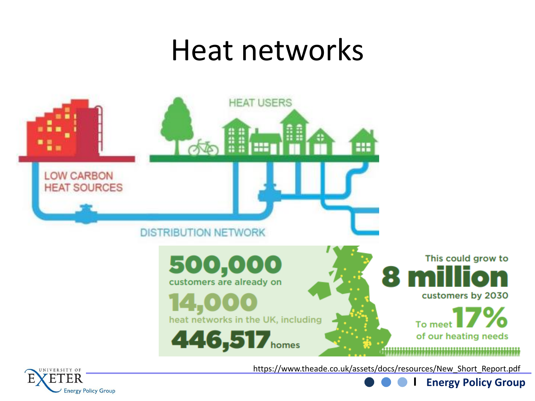## Heat networks

![](_page_6_Figure_1.jpeg)

https://www.theade.co.uk/assets/docs/resources/New\_Short\_Report.pdf

![](_page_6_Picture_3.jpeg)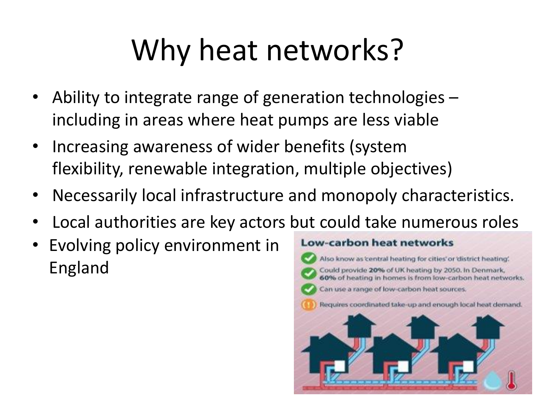# Why heat networks?

- Ability to integrate range of generation technologies including in areas where heat pumps are less viable
- Increasing awareness of wider benefits (system flexibility, renewable integration, multiple objectives)
- Necessarily local infrastructure and monopoly characteristics.
- Local authorities are key actors but could take numerous roles
- Evolving policy environment in England

![](_page_7_Figure_6.jpeg)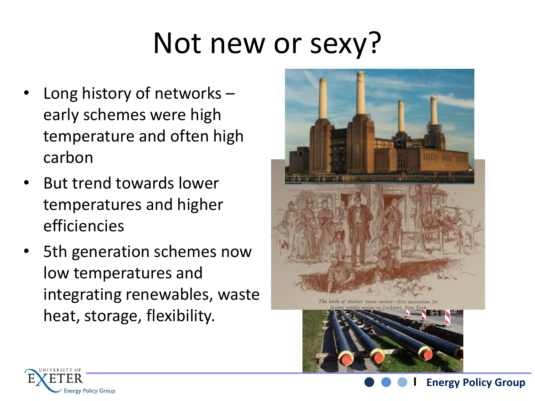# Not new or sexy?

- Long history of networks  $$ early schemes were high temperature and often high carbon
- But trend towards lower temperatures and higher efficiencies
- 5th generation schemes now low temperatures and integrating renewables, waste heat, storage, flexibility.

![](_page_8_Picture_4.jpeg)

![](_page_8_Picture_5.jpeg)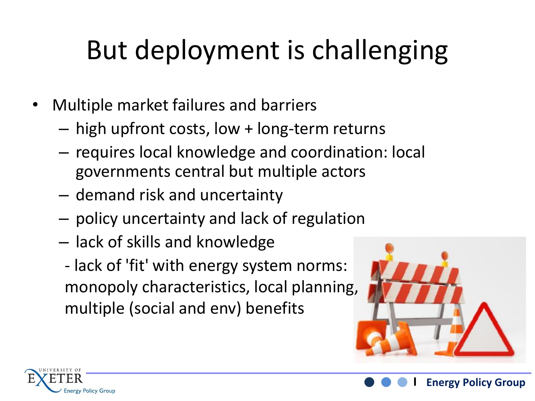# But deployment is challenging

- Multiple market failures and barriers
	- high upfront costs, low + long-term returns
	- requires local knowledge and coordination: local governments central but multiple actors
	- demand risk and uncertainty
	- policy uncertainty and lack of regulation
	- lack of skills and knowledge
	- lack of 'fit' with energy system norms: monopoly characteristics, local planning, multiple (social and env) benefits

![](_page_9_Picture_8.jpeg)

![](_page_9_Picture_9.jpeg)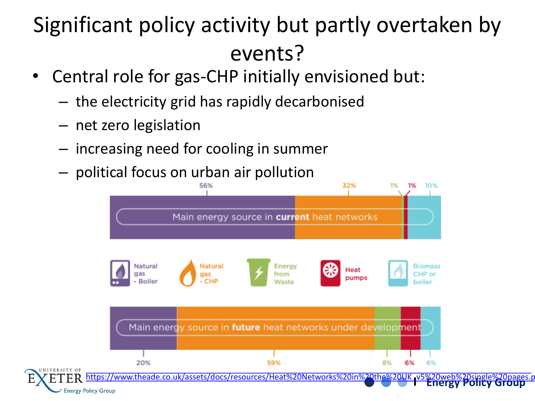### Significant policy activity but partly overtaken by events?

- Central role for gas-CHP initially envisioned but:
	- the electricity grid has rapidly decarbonised
	- net zero legislation
	- increasing need for cooling in summer
	- political focus on urban air pollution

![](_page_10_Figure_6.jpeg)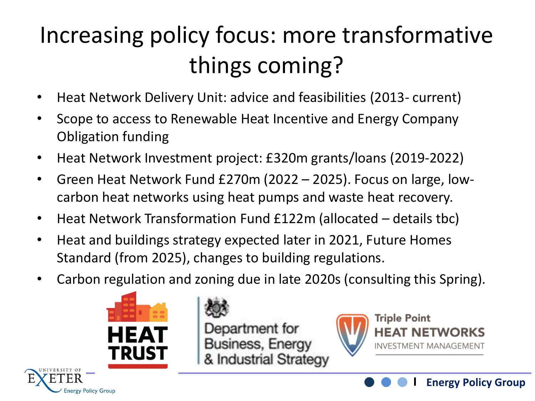## Increasing policy focus: more transformative things coming?

- Heat Network Delivery Unit: advice and feasibilities (2013- current)
- Scope to access to Renewable Heat Incentive and Energy Company Obligation funding
- Heat Network Investment project: £320m grants/loans (2019-2022)
- Green Heat Network Fund £270m (2022 2025). Focus on large, lowcarbon heat networks using heat pumps and waste heat recovery.
- Heat Network Transformation Fund £122m (allocated details tbc)
- Heat and buildings strategy expected later in 2021, Future Homes Standard (from 2025), changes to building regulations.
- Carbon regulation and zoning due in late 2020s (consulting this Spring).

![](_page_11_Picture_8.jpeg)

nergy Policy Group

Department for **Business, Energy** & Industrial Strategy

![](_page_11_Picture_10.jpeg)

![](_page_11_Picture_11.jpeg)

![](_page_11_Picture_12.jpeg)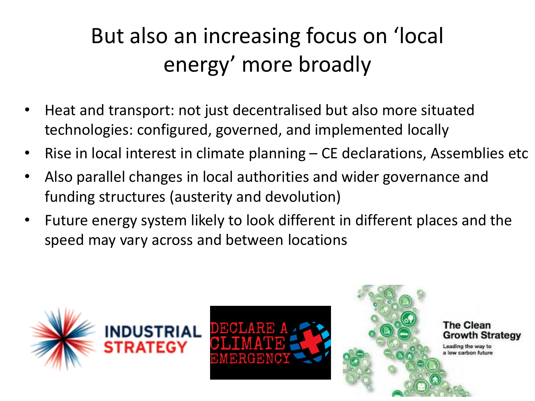## But also an increasing focus on 'local energy' more broadly

- Heat and transport: not just decentralised but also more situated technologies: configured, governed, and implemented locally
- Rise in local interest in climate planning CE declarations, Assemblies etc
- Also parallel changes in local authorities and wider governance and funding structures (austerity and devolution)
- Future energy system likely to look different in different places and the speed may vary across and between locations

![](_page_12_Picture_5.jpeg)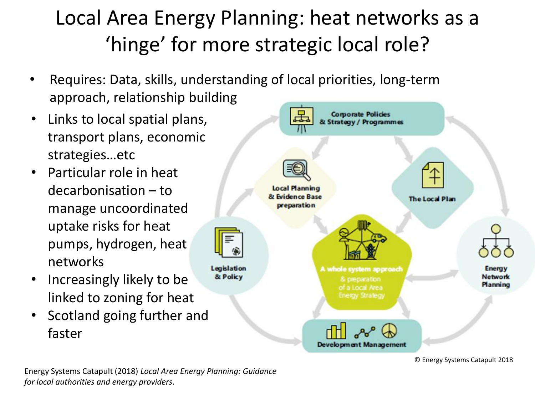#### Local Area Energy Planning: heat networks as a 'hinge' for more strategic local role?

- Requires: Data, skills, understanding of local priorities, long-term approach, relationship building
- Links to local spatial plans, transport plans, economic strategies…etc
- Particular role in heat decarbonisation – to manage uncoordinated uptake risks for heat pumps, hydrogen, heat networks
- Increasingly likely to be linked to zoning for heat
- Scotland going further and faster

![](_page_13_Figure_6.jpeg)

© Energy Systems Catapult 2018

Energy Systems Catapult (2018) *Local Area Energy Planning: Guidance for local authorities and energy providers*.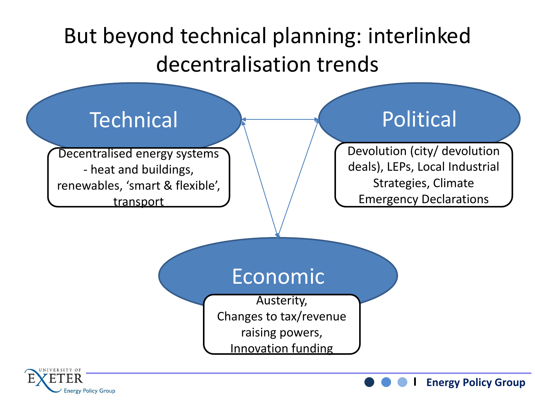#### But beyond technical planning: interlinked decentralisation trends

#### **Technical**

Decentralised energy systems - heat and buildings, renewables, 'smart & flexible', transport

#### Political

Devolution (city/ devolution deals), LEPs, Local Industrial Strategies, Climate Emergency Declarations

**Energy Policy Group**

#### Economic

Austerity, Changes to tax/revenue raising powers, Innovation funding

![](_page_14_Picture_7.jpeg)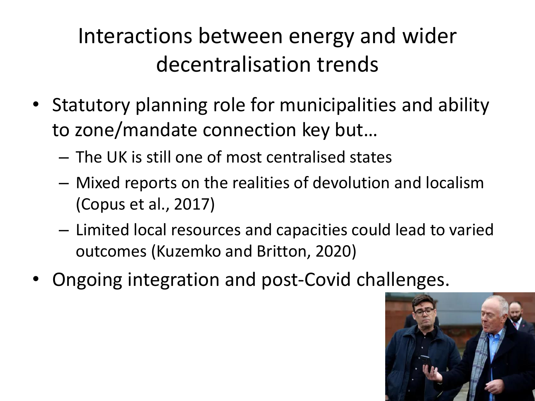### Interactions between energy and wider decentralisation trends

- Statutory planning role for municipalities and ability to zone/mandate connection key but…
	- The UK is still one of most centralised states
	- Mixed reports on the realities of devolution and localism (Copus et al., 2017)
	- Limited local resources and capacities could lead to varied outcomes (Kuzemko and Britton, 2020)
- Ongoing integration and post-Covid challenges.

![](_page_15_Picture_6.jpeg)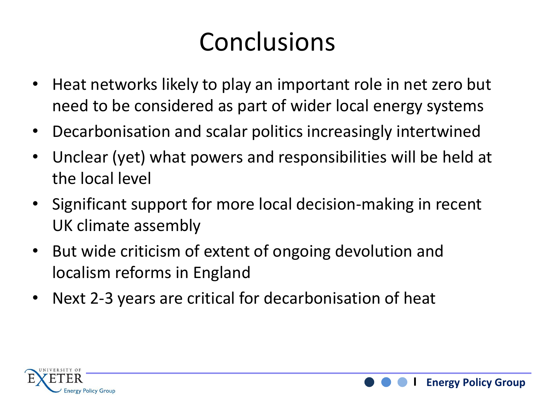## Conclusions

- Heat networks likely to play an important role in net zero but need to be considered as part of wider local energy systems
- Decarbonisation and scalar politics increasingly intertwined
- Unclear (yet) what powers and responsibilities will be held at the local level
- Significant support for more local decision-making in recent UK climate assembly
- But wide criticism of extent of ongoing devolution and localism reforms in England
- Next 2-3 years are critical for decarbonisation of heat

![](_page_16_Picture_7.jpeg)

![](_page_16_Picture_8.jpeg)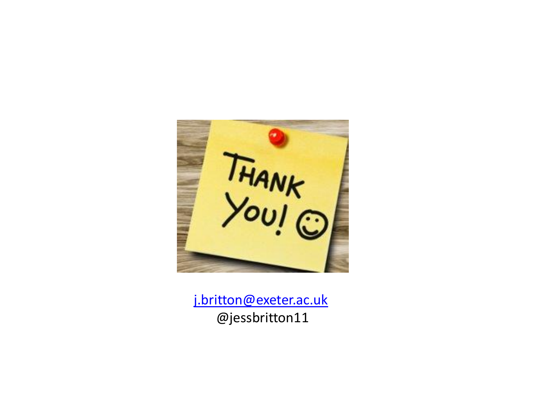![](_page_17_Picture_0.jpeg)

[j.britton@exeter.ac.uk](mailto:j.britton@exeter.ac.uk) @jessbritton11